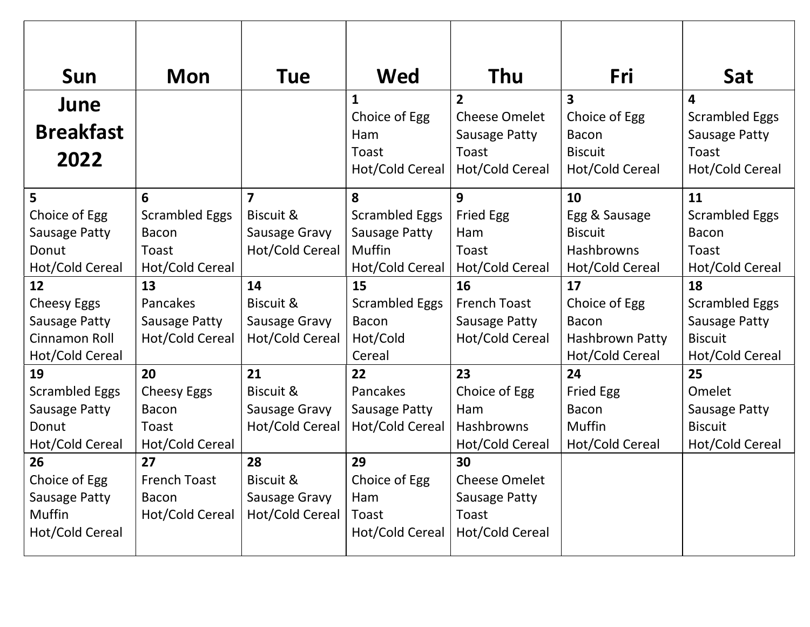| Sun                   | <b>Mon</b>            | Tue                     | <b>Wed</b>            | Thu                  | Fri              | Sat                   |
|-----------------------|-----------------------|-------------------------|-----------------------|----------------------|------------------|-----------------------|
| June                  |                       |                         | $\mathbf{1}$          | $\overline{2}$       | 3                | 4                     |
|                       |                       |                         | Choice of Egg         | <b>Cheese Omelet</b> | Choice of Egg    | <b>Scrambled Eggs</b> |
| <b>Breakfast</b>      |                       |                         | Ham                   | Sausage Patty        | <b>Bacon</b>     | Sausage Patty         |
| 2022                  |                       |                         | Toast                 | Toast                | <b>Biscuit</b>   | Toast                 |
|                       |                       |                         | Hot/Cold Cereal       | Hot/Cold Cereal      | Hot/Cold Cereal  | Hot/Cold Cereal       |
| 5                     | 6                     | $\overline{\mathbf{z}}$ | 8                     | 9                    | 10               | 11                    |
| Choice of Egg         | <b>Scrambled Eggs</b> | Biscuit &               | <b>Scrambled Eggs</b> | <b>Fried Egg</b>     | Egg & Sausage    | <b>Scrambled Eggs</b> |
| Sausage Patty         | <b>Bacon</b>          | Sausage Gravy           | Sausage Patty         | Ham                  | <b>Biscuit</b>   | <b>Bacon</b>          |
| Donut                 | Toast                 | Hot/Cold Cereal         | Muffin                | Toast                | Hashbrowns       | Toast                 |
| Hot/Cold Cereal       | Hot/Cold Cereal       |                         | Hot/Cold Cereal       | Hot/Cold Cereal      | Hot/Cold Cereal  | Hot/Cold Cereal       |
| 12                    | 13                    | 14                      | 15                    | 16                   | 17               | 18                    |
| <b>Cheesy Eggs</b>    | <b>Pancakes</b>       | Biscuit &               | <b>Scrambled Eggs</b> | <b>French Toast</b>  | Choice of Egg    | <b>Scrambled Eggs</b> |
| Sausage Patty         | Sausage Patty         | Sausage Gravy           | <b>Bacon</b>          | Sausage Patty        | <b>Bacon</b>     | <b>Sausage Patty</b>  |
| Cinnamon Roll         | Hot/Cold Cereal       | Hot/Cold Cereal         | Hot/Cold              | Hot/Cold Cereal      | Hashbrown Patty  | <b>Biscuit</b>        |
| Hot/Cold Cereal       |                       |                         | Cereal                |                      | Hot/Cold Cereal  | Hot/Cold Cereal       |
| 19                    | 20                    | 21                      | 22                    | 23                   | 24               | 25                    |
| <b>Scrambled Eggs</b> | <b>Cheesy Eggs</b>    | Biscuit &               | Pancakes              | Choice of Egg        | <b>Fried Egg</b> | Omelet                |
| Sausage Patty         | <b>Bacon</b>          | Sausage Gravy           | Sausage Patty         | Ham                  | <b>Bacon</b>     | Sausage Patty         |
| Donut                 | Toast                 | Hot/Cold Cereal         | Hot/Cold Cereal       | Hashbrowns           | Muffin           | <b>Biscuit</b>        |
| Hot/Cold Cereal       | Hot/Cold Cereal       |                         |                       | Hot/Cold Cereal      | Hot/Cold Cereal  | Hot/Cold Cereal       |
| 26                    | 27                    | 28                      | 29                    | 30                   |                  |                       |
| Choice of Egg         | <b>French Toast</b>   | Biscuit &               | Choice of Egg         | <b>Cheese Omelet</b> |                  |                       |
| Sausage Patty         | <b>Bacon</b>          | Sausage Gravy           | Ham                   | <b>Sausage Patty</b> |                  |                       |
| <b>Muffin</b>         | Hot/Cold Cereal       | Hot/Cold Cereal         | Toast                 | Toast                |                  |                       |
| Hot/Cold Cereal       |                       |                         | Hot/Cold Cereal       | Hot/Cold Cereal      |                  |                       |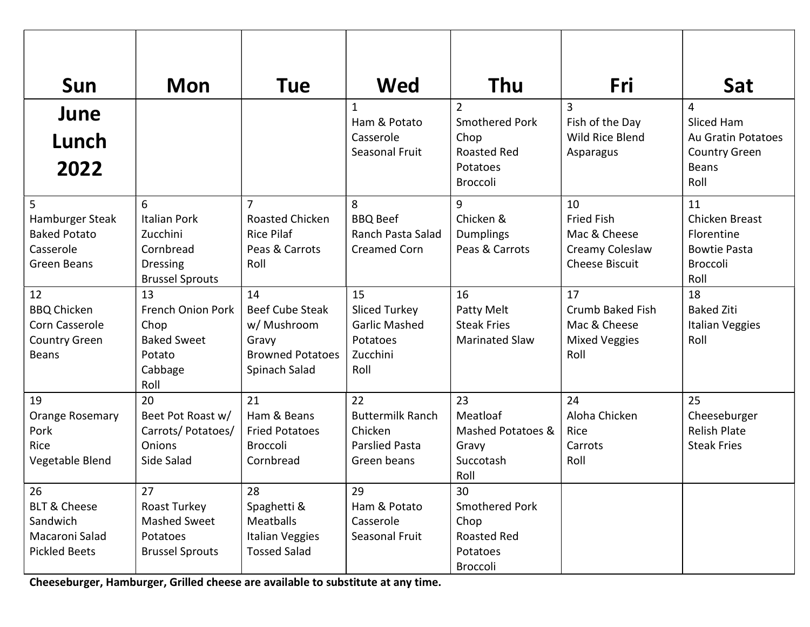| Sun                                                                                          | <b>Mon</b>                                                                                     | Tue                                                                                              | Wed                                                                                | Thu                                                                        | Fri                                                                                 | Sat                                                                                  |
|----------------------------------------------------------------------------------------------|------------------------------------------------------------------------------------------------|--------------------------------------------------------------------------------------------------|------------------------------------------------------------------------------------|----------------------------------------------------------------------------|-------------------------------------------------------------------------------------|--------------------------------------------------------------------------------------|
| June                                                                                         |                                                                                                |                                                                                                  | 1<br>Ham & Potato                                                                  | $\overline{2}$<br>Smothered Pork                                           | 3<br>Fish of the Day                                                                | 4<br>Sliced Ham                                                                      |
| Lunch                                                                                        |                                                                                                |                                                                                                  | Casserole<br>Seasonal Fruit                                                        | Chop<br><b>Roasted Red</b>                                                 | <b>Wild Rice Blend</b><br>Asparagus                                                 | <b>Au Gratin Potatoes</b><br><b>Country Green</b>                                    |
| 2022                                                                                         |                                                                                                |                                                                                                  |                                                                                    | Potatoes<br>Broccoli                                                       |                                                                                     | <b>Beans</b><br>Roll                                                                 |
| $5\phantom{.0}$<br>Hamburger Steak<br><b>Baked Potato</b><br>Casserole<br>Green Beans        | 6<br><b>Italian Pork</b><br>Zucchini<br>Cornbread<br><b>Dressing</b><br><b>Brussel Sprouts</b> | 7<br>Roasted Chicken<br><b>Rice Pilaf</b><br>Peas & Carrots<br>Roll                              | 8<br><b>BBQ Beef</b><br>Ranch Pasta Salad<br><b>Creamed Corn</b>                   | 9<br>Chicken &<br>Dumplings<br>Peas & Carrots                              | 10<br><b>Fried Fish</b><br>Mac & Cheese<br>Creamy Coleslaw<br><b>Cheese Biscuit</b> | 11<br>Chicken Breast<br>Florentine<br><b>Bowtie Pasta</b><br><b>Broccoli</b><br>Roll |
| 12<br><b>BBQ Chicken</b><br>Corn Casserole<br><b>Country Green</b><br><b>Beans</b>           | 13<br>French Onion Pork<br>Chop<br><b>Baked Sweet</b><br>Potato<br>Cabbage<br>Roll             | 14<br><b>Beef Cube Steak</b><br>w/ Mushroom<br>Gravy<br><b>Browned Potatoes</b><br>Spinach Salad | 15<br><b>Sliced Turkey</b><br><b>Garlic Mashed</b><br>Potatoes<br>Zucchini<br>Roll | 16<br>Patty Melt<br><b>Steak Fries</b><br><b>Marinated Slaw</b>            | 17<br>Crumb Baked Fish<br>Mac & Cheese<br><b>Mixed Veggies</b><br>Roll              | 18<br><b>Baked Ziti</b><br>Italian Veggies<br>Roll                                   |
| 19<br>Orange Rosemary<br>Pork<br>Rice<br>Vegetable Blend                                     | 20<br>Beet Pot Roast w/<br>Carrots/Potatoes/<br>Onions<br>Side Salad                           | 21<br>Ham & Beans<br><b>Fried Potatoes</b><br><b>Broccoli</b><br>Cornbread                       | 22<br><b>Buttermilk Ranch</b><br>Chicken<br><b>Parslied Pasta</b><br>Green beans   | 23<br>Meatloaf<br>Mashed Potatoes &<br>Gravy<br>Succotash<br>Roll          | 24<br>Aloha Chicken<br>Rice<br>Carrots<br>Roll                                      | 25<br>Cheeseburger<br><b>Relish Plate</b><br><b>Steak Fries</b>                      |
| $\sqrt{26}$<br><b>BLT &amp; Cheese</b><br>Sandwich<br>Macaroni Salad<br><b>Pickled Beets</b> | 27<br>Roast Turkey<br>Mashed Sweet<br>Potatoes<br><b>Brussel Sprouts</b>                       | 28<br>Spaghetti &<br>Meatballs<br>Italian Veggies<br><b>Tossed Salad</b>                         | 29<br>Ham & Potato<br>Casserole<br>Seasonal Fruit                                  | 30<br><b>Smothered Pork</b><br>Chop<br>Roasted Red<br>Potatoes<br>Broccoli |                                                                                     |                                                                                      |

Cheeseburger, Hamburger, Grilled cheese are available to substitute at any time.